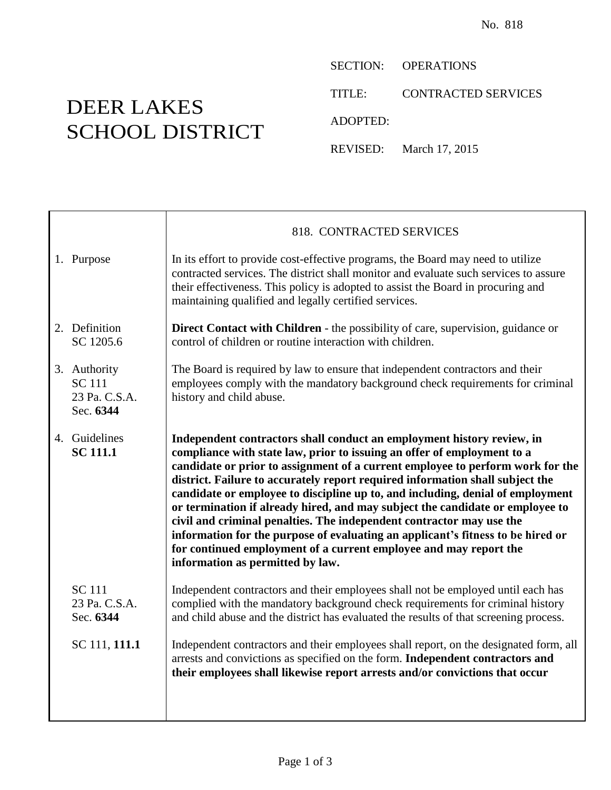DEER LAKES SCHOOL DISTRICT

Т

SECTION: OPERATIONS

TITLE: CONTRACTED SERVICES

ADOPTED:

REVISED: March 17, 2015

|                                                             | 818. CONTRACTED SERVICES                                                                                                                                                                                                                                                                                                                                                                                                                                                                                                                                                                                                                                                                                                                                    |  |  |
|-------------------------------------------------------------|-------------------------------------------------------------------------------------------------------------------------------------------------------------------------------------------------------------------------------------------------------------------------------------------------------------------------------------------------------------------------------------------------------------------------------------------------------------------------------------------------------------------------------------------------------------------------------------------------------------------------------------------------------------------------------------------------------------------------------------------------------------|--|--|
| 1. Purpose                                                  | In its effort to provide cost-effective programs, the Board may need to utilize<br>contracted services. The district shall monitor and evaluate such services to assure<br>their effectiveness. This policy is adopted to assist the Board in procuring and<br>maintaining qualified and legally certified services.                                                                                                                                                                                                                                                                                                                                                                                                                                        |  |  |
| 2. Definition<br>SC 1205.6                                  | <b>Direct Contact with Children</b> - the possibility of care, supervision, guidance or<br>control of children or routine interaction with children.                                                                                                                                                                                                                                                                                                                                                                                                                                                                                                                                                                                                        |  |  |
| 3. Authority<br><b>SC</b> 111<br>23 Pa. C.S.A.<br>Sec. 6344 | The Board is required by law to ensure that independent contractors and their<br>employees comply with the mandatory background check requirements for criminal<br>history and child abuse.                                                                                                                                                                                                                                                                                                                                                                                                                                                                                                                                                                 |  |  |
| 4. Guidelines<br><b>SC 111.1</b>                            | Independent contractors shall conduct an employment history review, in<br>compliance with state law, prior to issuing an offer of employment to a<br>candidate or prior to assignment of a current employee to perform work for the<br>district. Failure to accurately report required information shall subject the<br>candidate or employee to discipline up to, and including, denial of employment<br>or termination if already hired, and may subject the candidate or employee to<br>civil and criminal penalties. The independent contractor may use the<br>information for the purpose of evaluating an applicant's fitness to be hired or<br>for continued employment of a current employee and may report the<br>information as permitted by law. |  |  |
| <b>SC</b> 111<br>23 Pa. C.S.A.<br>Sec. 6344                 | Independent contractors and their employees shall not be employed until each has<br>complied with the mandatory background check requirements for criminal history<br>and child abuse and the district has evaluated the results of that screening process.                                                                                                                                                                                                                                                                                                                                                                                                                                                                                                 |  |  |
| SC 111, 111.1                                               | Independent contractors and their employees shall report, on the designated form, all<br>arrests and convictions as specified on the form. Independent contractors and<br>their employees shall likewise report arrests and/or convictions that occur                                                                                                                                                                                                                                                                                                                                                                                                                                                                                                       |  |  |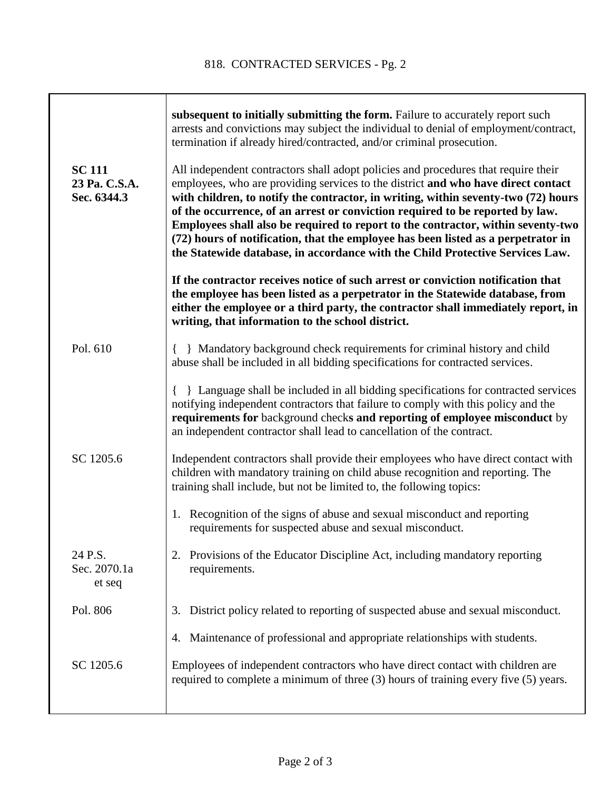|                                               | subsequent to initially submitting the form. Failure to accurately report such<br>arrests and convictions may subject the individual to denial of employment/contract,<br>termination if already hired/contracted, and/or criminal prosecution.                                                                                                                                                                                                                                                                                                                                                          |  |  |
|-----------------------------------------------|----------------------------------------------------------------------------------------------------------------------------------------------------------------------------------------------------------------------------------------------------------------------------------------------------------------------------------------------------------------------------------------------------------------------------------------------------------------------------------------------------------------------------------------------------------------------------------------------------------|--|--|
| <b>SC 111</b><br>23 Pa. C.S.A.<br>Sec. 6344.3 | All independent contractors shall adopt policies and procedures that require their<br>employees, who are providing services to the district and who have direct contact<br>with children, to notify the contractor, in writing, within seventy-two (72) hours<br>of the occurrence, of an arrest or conviction required to be reported by law.<br>Employees shall also be required to report to the contractor, within seventy-two<br>(72) hours of notification, that the employee has been listed as a perpetrator in<br>the Statewide database, in accordance with the Child Protective Services Law. |  |  |
|                                               | If the contractor receives notice of such arrest or conviction notification that<br>the employee has been listed as a perpetrator in the Statewide database, from<br>either the employee or a third party, the contractor shall immediately report, in<br>writing, that information to the school district.                                                                                                                                                                                                                                                                                              |  |  |
| Pol. 610                                      | Mandatory background check requirements for criminal history and child<br>abuse shall be included in all bidding specifications for contracted services.                                                                                                                                                                                                                                                                                                                                                                                                                                                 |  |  |
|                                               | Example 2 Language shall be included in all bidding specifications for contracted services<br>notifying independent contractors that failure to comply with this policy and the<br>requirements for background checks and reporting of employee misconduct by<br>an independent contractor shall lead to cancellation of the contract.                                                                                                                                                                                                                                                                   |  |  |
| SC 1205.6                                     | Independent contractors shall provide their employees who have direct contact with<br>children with mandatory training on child abuse recognition and reporting. The<br>training shall include, but not be limited to, the following topics:                                                                                                                                                                                                                                                                                                                                                             |  |  |
|                                               | Recognition of the signs of abuse and sexual misconduct and reporting<br>1.<br>requirements for suspected abuse and sexual misconduct.                                                                                                                                                                                                                                                                                                                                                                                                                                                                   |  |  |
| 24 P.S.<br>Sec. 2070.1a<br>et seq             | Provisions of the Educator Discipline Act, including mandatory reporting<br>requirements.                                                                                                                                                                                                                                                                                                                                                                                                                                                                                                                |  |  |
| Pol. 806                                      | District policy related to reporting of suspected abuse and sexual misconduct.<br>3.                                                                                                                                                                                                                                                                                                                                                                                                                                                                                                                     |  |  |
|                                               | Maintenance of professional and appropriate relationships with students.<br>4.                                                                                                                                                                                                                                                                                                                                                                                                                                                                                                                           |  |  |
| SC 1205.6                                     | Employees of independent contractors who have direct contact with children are<br>required to complete a minimum of three (3) hours of training every five (5) years.                                                                                                                                                                                                                                                                                                                                                                                                                                    |  |  |
|                                               |                                                                                                                                                                                                                                                                                                                                                                                                                                                                                                                                                                                                          |  |  |